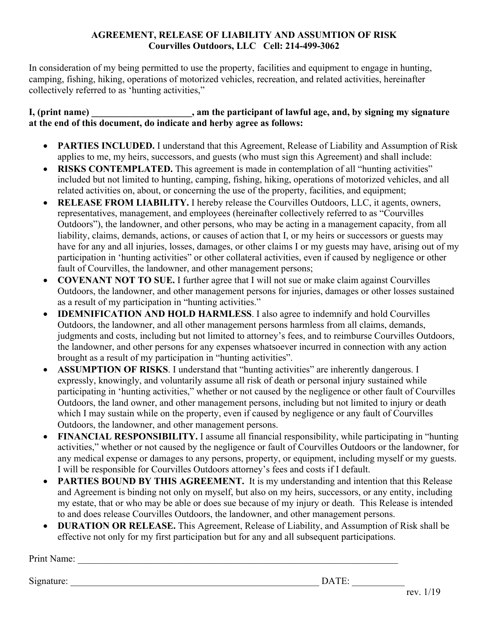#### **AGREEMENT, RELEASE OF LIABILITY AND ASSUMTION OF RISK Courvilles Outdoors, LLC Cell: 214-499-3062**

In consideration of my being permitted to use the property, facilities and equipment to engage in hunting, camping, fishing, hiking, operations of motorized vehicles, recreation, and related activities, hereinafter collectively referred to as 'hunting activities,"

### **I, (print name) \_\_\_\_\_\_\_\_\_\_\_\_\_\_\_\_\_\_\_\_\_, am the participant of lawful age, and, by signing my signature at the end of this document, do indicate and herby agree as follows:**

- **PARTIES INCLUDED.** I understand that this Agreement, Release of Liability and Assumption of Risk applies to me, my heirs, successors, and guests (who must sign this Agreement) and shall include:
- **RISKS CONTEMPLATED.** This agreement is made in contemplation of all "hunting activities" included but not limited to hunting, camping, fishing, hiking, operations of motorized vehicles, and all related activities on, about, or concerning the use of the property, facilities, and equipment;
- **RELEASE FROM LIABILITY.** I hereby release the Courvilles Outdoors, LLC, it agents, owners, representatives, management, and employees (hereinafter collectively referred to as "Courvilles Outdoors"), the landowner, and other persons, who may be acting in a management capacity, from all liability, claims, demands, actions, or causes of action that I, or my heirs or successors or guests may have for any and all injuries, losses, damages, or other claims I or my guests may have, arising out of my participation in 'hunting activities" or other collateral activities, even if caused by negligence or other fault of Courvilles, the landowner, and other management persons;
- **COVENANT NOT TO SUE.** I further agree that I will not sue or make claim against Courvilles Outdoors, the landowner, and other management persons for injuries, damages or other losses sustained as a result of my participation in "hunting activities."
- **IDEMNIFICATION AND HOLD HARMLESS**. I also agree to indemnify and hold Courvilles Outdoors, the landowner, and all other management persons harmless from all claims, demands, judgments and costs, including but not limited to attorney's fees, and to reimburse Courvilles Outdoors, the landowner, and other persons for any expenses whatsoever incurred in connection with any action brought as a result of my participation in "hunting activities".
- **ASSUMPTION OF RISKS**. I understand that "hunting activities" are inherently dangerous. I expressly, knowingly, and voluntarily assume all risk of death or personal injury sustained while participating in 'hunting activities," whether or not caused by the negligence or other fault of Courvilles Outdoors, the land owner, and other management persons, including but not limited to injury or death which I may sustain while on the property, even if caused by negligence or any fault of Courvilles Outdoors, the landowner, and other management persons.
- **FINANCIAL RESPONSIBILITY.** I assume all financial responsibility, while participating in "hunting activities," whether or not caused by the negligence or fault of Courvilles Outdoors or the landowner, for any medical expense or damages to any persons, property, or equipment, including myself or my guests. I will be responsible for Courvilles Outdoors attorney's fees and costs if I default.
- **PARTIES BOUND BY THIS AGREEMENT.** It is my understanding and intention that this Release and Agreement is binding not only on myself, but also on my heirs, successors, or any entity, including my estate, that or who may be able or does sue because of my injury or death. This Release is intended to and does release Courvilles Outdoors, the landowner, and other management persons.
- **DURATION OR RELEASE.** This Agreement, Release of Liability, and Assumption of Risk shall be effective not only for my first participation but for any and all subsequent participations.

| Print Name: |       |
|-------------|-------|
|             |       |
| Signature:  | DATE: |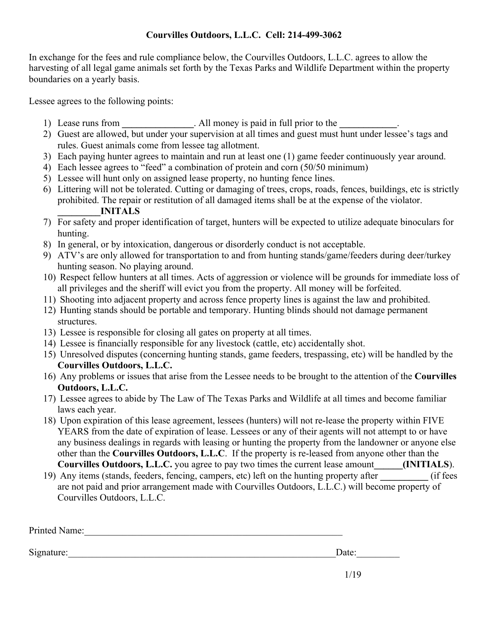### **Courvilles Outdoors, L.L.C. Cell: 214-499-3062**

In exchange for the fees and rule compliance below, the Courvilles Outdoors, L.L.C. agrees to allow the harvesting of all legal game animals set forth by the Texas Parks and Wildlife Department within the property boundaries on a yearly basis.

Lessee agrees to the following points:

- 1) Lease runs from **\_\_\_\_\_\_\_\_\_\_\_\_\_\_\_**. All money is paid in full prior to the **\_\_\_\_\_\_\_\_\_\_\_\_**.
- 2) Guest are allowed, but under your supervision at all times and guest must hunt under lessee's tags and rules. Guest animals come from lessee tag allotment.
- 3) Each paying hunter agrees to maintain and run at least one (1) game feeder continuously year around.
- 4) Each lessee agrees to "feed" a combination of protein and corn (50/50 minimum)
- 5) Lessee will hunt only on assigned lease property, no hunting fence lines.
- 6) Littering will not be tolerated. Cutting or damaging of trees, crops, roads, fences, buildings, etc is strictly prohibited. The repair or restitution of all damaged items shall be at the expense of the violator. **\_\_\_\_\_\_\_\_\_INITALS**
- 7) For safety and proper identification of target, hunters will be expected to utilize adequate binoculars for hunting.
- 8) In general, or by intoxication, dangerous or disorderly conduct is not acceptable.
- 9) ATV's are only allowed for transportation to and from hunting stands/game/feeders during deer/turkey hunting season. No playing around.
- 10) Respect fellow hunters at all times. Acts of aggression or violence will be grounds for immediate loss of all privileges and the sheriff will evict you from the property. All money will be forfeited.
- 11) Shooting into adjacent property and across fence property lines is against the law and prohibited.
- 12) Hunting stands should be portable and temporary. Hunting blinds should not damage permanent structures.
- 13) Lessee is responsible for closing all gates on property at all times.
- 14) Lessee is financially responsible for any livestock (cattle, etc) accidentally shot.
- 15) Unresolved disputes (concerning hunting stands, game feeders, trespassing, etc) will be handled by the **Courvilles Outdoors, L.L.C.**
- 16) Any problems or issues that arise from the Lessee needs to be brought to the attention of the **Courvilles Outdoors, L.L.C.**
- 17) Lessee agrees to abide by The Law of The Texas Parks and Wildlife at all times and become familiar laws each year.
- 18) Upon expiration of this lease agreement, lessees (hunters) will not re-lease the property within FIVE YEARS from the date of expiration of lease. Lessees or any of their agents will not attempt to or have any business dealings in regards with leasing or hunting the property from the landowner or anyone else other than the **Courvilles Outdoors, L.L.C**. If the property is re-leased from anyone other than the **Courvilles Outdoors, L.L.C.** you agree to pay two times the current lease amount**\_\_\_\_\_\_(INITIALS**).
- 19) Any items (stands, feeders, fencing, campers, etc) left on the hunting property after **\_\_\_\_\_\_\_\_\_\_** (if fees are not paid and prior arrangement made with Courvilles Outdoors, L.L.C.) will become property of Courvilles Outdoors, L.L.C.

| Printed Name: |  |
|---------------|--|
|               |  |

Signature:\_\_\_\_\_\_\_\_\_\_\_\_\_\_\_\_\_\_\_\_\_\_\_\_\_\_\_\_\_\_\_\_\_\_\_\_\_\_\_\_\_\_\_\_\_\_\_\_\_\_\_\_\_\_\_\_Date:\_\_\_\_\_\_\_\_\_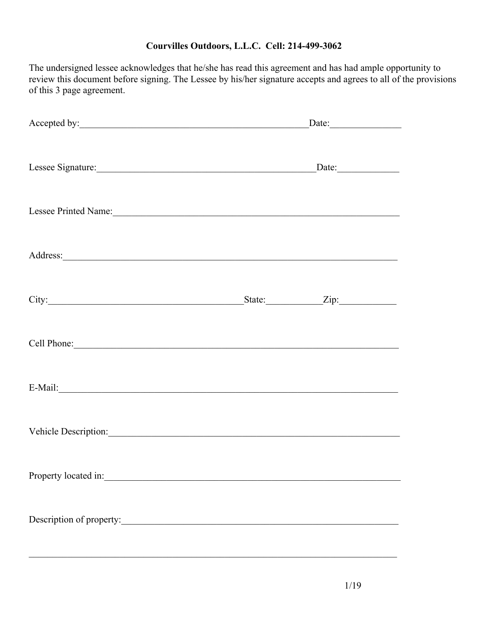## **Courvilles Outdoors, L.L.C. Cell: 214-499-3062**

The undersigned lessee acknowledges that he/she has read this agreement and has had ample opportunity to review this document before signing. The Lessee by his/her signature accepts and agrees to all of the provisions of this 3 page agreement.

| Accepted by:                                                                                                                                                                                                                        | $\text{Date:}$ |  |  |
|-------------------------------------------------------------------------------------------------------------------------------------------------------------------------------------------------------------------------------------|----------------|--|--|
| Lessee Signature: Date: Date:                                                                                                                                                                                                       |                |  |  |
| Lessee Printed Name:                                                                                                                                                                                                                |                |  |  |
|                                                                                                                                                                                                                                     |                |  |  |
| City: <u>City:</u> City: City: City: City: City: City: City: City: City: City: City: City: City: City: City: City: City: City: City: City: City: City: City: City: City: City: City: City: City: City: City: City: City: City: City |                |  |  |
| Cell Phone: Cell Phone:                                                                                                                                                                                                             |                |  |  |
| E-Mail: No. 2014                                                                                                                                                                                                                    |                |  |  |
| Vehicle Description:                                                                                                                                                                                                                |                |  |  |
|                                                                                                                                                                                                                                     |                |  |  |
| Description of property:                                                                                                                                                                                                            |                |  |  |
|                                                                                                                                                                                                                                     |                |  |  |